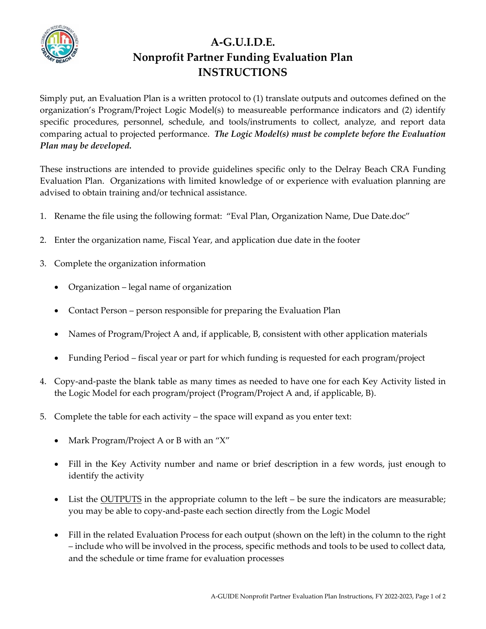

## **A-G.U.I.D.E. Nonprofit Partner Funding Evaluation Plan INSTRUCTIONS**

Simply put, an Evaluation Plan is a written protocol to (1) translate outputs and outcomes defined on the organization's Program/Project Logic Model(s) to measureable performance indicators and (2) identify specific procedures, personnel, schedule, and tools/instruments to collect, analyze, and report data comparing actual to projected performance. *The Logic Model(s) must be complete before the Evaluation Plan may be developed.*

These instructions are intended to provide guidelines specific only to the Delray Beach CRA Funding Evaluation Plan. Organizations with limited knowledge of or experience with evaluation planning are advised to obtain training and/or technical assistance.

- 1. Rename the file using the following format: "Eval Plan, Organization Name, Due Date.doc"
- 2. Enter the organization name, Fiscal Year, and application due date in the footer
- 3. Complete the organization information
	- Organization legal name of organization
	- Contact Person person responsible for preparing the Evaluation Plan
	- Names of Program/Project A and, if applicable, B, consistent with other application materials
	- Funding Period fiscal year or part for which funding is requested for each program/project
- 4. Copy-and-paste the blank table as many times as needed to have one for each Key Activity listed in the Logic Model for each program/project (Program/Project A and, if applicable, B).
- 5. Complete the table for each activity the space will expand as you enter text:
	- Mark Program/Project A or B with an "X"
	- Fill in the Key Activity number and name or brief description in a few words, just enough to identify the activity
	- List the **OUTPUTS** in the appropriate column to the left be sure the indicators are measurable; you may be able to copy-and-paste each section directly from the Logic Model
	- Fill in the related Evaluation Process for each output (shown on the left) in the column to the right – include who will be involved in the process, specific methods and tools to be used to collect data, and the schedule or time frame for evaluation processes